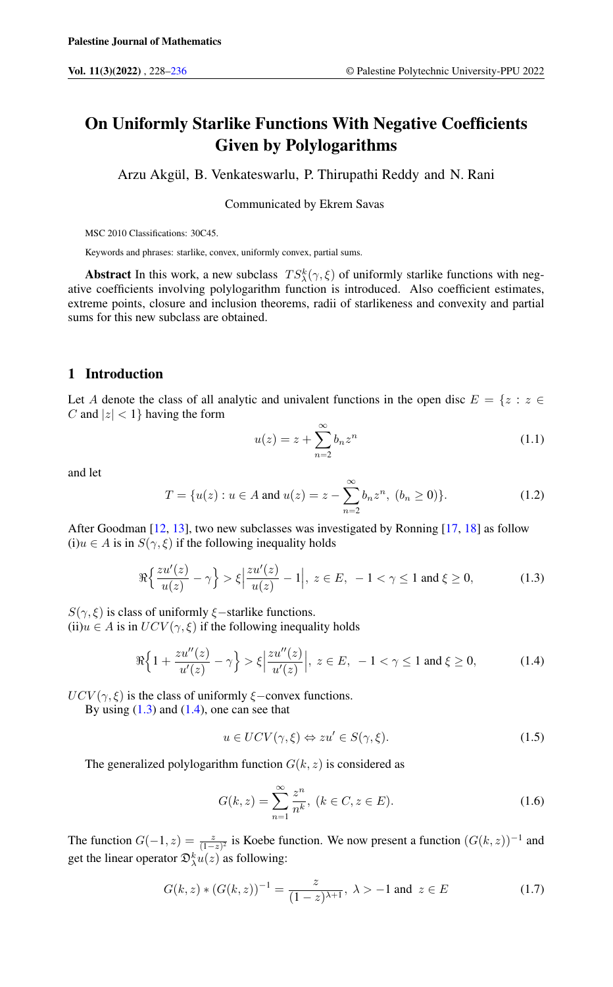# On Uniformly Starlike Functions With Negative Coefficients Given by Polylogarithms

Arzu Akgül, B. Venkateswarlu, P. Thirupathi Reddy and N. Rani

Communicated by Ekrem Savas

MSC 2010 Classifications: 30C45.

Keywords and phrases: starlike, convex, uniformly convex, partial sums.

**Abstract** In this work, a new subclass  $TS_{\lambda}^{k}(\gamma, \xi)$  of uniformly starlike functions with negative coefficients involving polylogarithm function is introduced. Also coefficient estimates, extreme points, closure and inclusion theorems, radii of starlikeness and convexity and partial sums for this new subclass are obtained.

## 1 Introduction

Let A denote the class of all analytic and univalent functions in the open disc  $E = \{z : z \in \mathbb{R}^n : |z| \leq z \}$ C and  $|z| < 1$ } having the form

<span id="page-0-3"></span><span id="page-0-0"></span>
$$
u(z) = z + \sum_{n=2}^{\infty} b_n z^n \tag{1.1}
$$

<span id="page-0-4"></span>and let

$$
T = \{u(z) : u \in A \text{ and } u(z) = z - \sum_{n=2}^{\infty} b_n z^n, (b_n \ge 0)\}.
$$
 (1.2)

After Goodman [\[12,](#page-7-1) [13\]](#page-7-2), two new subclasses was investigated by Ronning [\[17,](#page-7-3) [18\]](#page-7-4) as follow (i)u ∈ A is in  $S(\gamma, \xi)$  if the following inequality holds

$$
\Re\left\{\frac{zu'(z)}{u(z)}-\gamma\right\} > \xi\left|\frac{zu'(z)}{u(z)}-1\right|, \ z \in E, \ -1 < \gamma \le 1 \text{ and } \xi \ge 0,\tag{1.3}
$$

 $S(\gamma, \xi)$  is class of uniformly  $\xi$ −starlike functions.

(ii)u  $\in$  A is in  $UCV(\gamma, \xi)$  if the following inequality holds

$$
\Re\Big\{1+\frac{zu''(z)}{u'(z)}-\gamma\Big\} > \xi\Big|\frac{zu''(z)}{u'(z)}\Big|, \ z \in E, \ -1 < \gamma \le 1 \text{ and } \xi \ge 0,\tag{1.4}
$$

 $UCV(\gamma, \xi)$  is the class of uniformly  $\xi$ –convex functions.

By using  $(1.3)$  and  $(1.4)$ , one can see that

<span id="page-0-1"></span>
$$
u \in UCV(\gamma, \xi) \Leftrightarrow zu' \in S(\gamma, \xi). \tag{1.5}
$$

The generalized polylogarithm function  $G(k, z)$  is considered as

<span id="page-0-2"></span>
$$
G(k, z) = \sum_{n=1}^{\infty} \frac{z^n}{n^k}, (k \in C, z \in E).
$$
 (1.6)

The function  $G(-1, z) = \frac{z}{(1-z)^2}$  is Koebe function. We now present a function  $(G(k, z))^{-1}$  and get the linear operator  $\mathfrak{D}^k_\lambda u(z)$  as following:

$$
G(k, z) * (G(k, z))^{-1} = \frac{z}{(1 - z)^{\lambda + 1}}, \ \lambda > -1 \text{ and } \ z \in E
$$
 (1.7)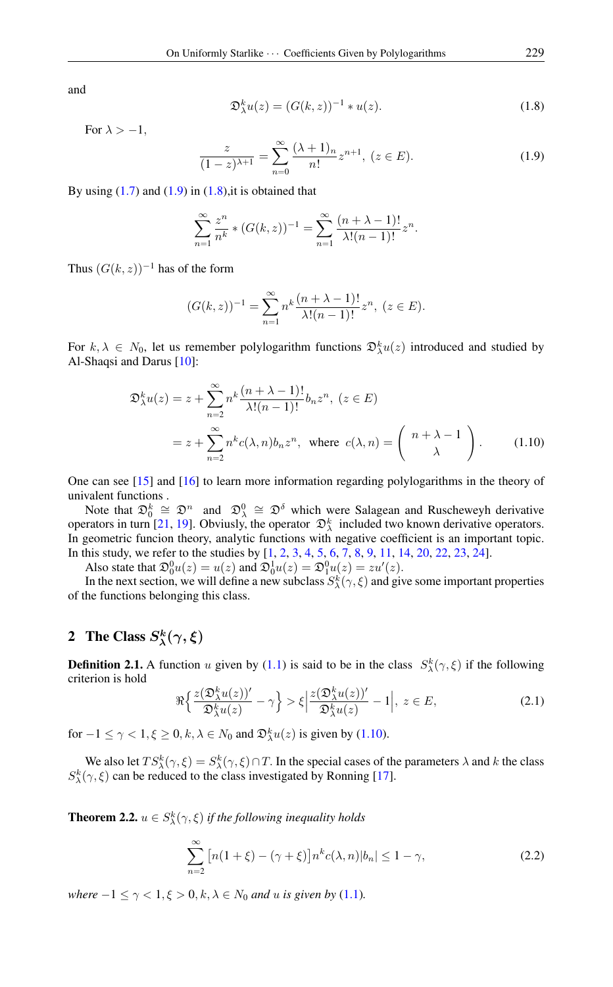<span id="page-1-1"></span>and

$$
\mathfrak{D}_{\lambda}^{k}u(z) = (G(k, z))^{-1} * u(z). \tag{1.8}
$$

For  $\lambda > -1$ ,

<span id="page-1-0"></span>
$$
\frac{z}{(1-z)^{\lambda+1}} = \sum_{n=0}^{\infty} \frac{(\lambda+1)_n}{n!} z^{n+1}, (z \in E).
$$
 (1.9)

By using  $(1.7)$  and  $(1.9)$  in  $(1.8)$ , it is obtained that

$$
\sum_{n=1}^{\infty} \frac{z^n}{n^k} * (G(k, z))^{-1} = \sum_{n=1}^{\infty} \frac{(n + \lambda - 1)!}{\lambda!(n - 1)!} z^n.
$$

Thus  $(G(k, z))^{-1}$  has of the form

<span id="page-1-2"></span>
$$
(G(k, z))^{-1} = \sum_{n=1}^{\infty} n^k \frac{(n + \lambda - 1)!}{\lambda!(n - 1)!} z^n, (z \in E).
$$

For  $k, \lambda \in N_0$ , let us remember polylogarithm functions  $\mathfrak{D}_{\lambda}^k u(z)$  introduced and studied by Al-Shaqsi and Darus [\[10\]](#page-7-5):

$$
\mathfrak{D}_{\lambda}^{k}u(z) = z + \sum_{n=2}^{\infty} n^{k} \frac{(n+\lambda-1)!}{\lambda!(n-1)!} b_{n}z^{n}, \ (z \in E)
$$

$$
= z + \sum_{n=2}^{\infty} n^{k} c(\lambda, n) b_{n}z^{n}, \text{ where } c(\lambda, n) = \begin{pmatrix} n+\lambda-1\\ \lambda \end{pmatrix}.
$$
 (1.10)

One can see [\[15\]](#page-7-6) and [\[16\]](#page-7-7) to learn more information regarding polylogarithms in the theory of univalent functions .

Note that  $\mathfrak{D}_0^k \cong \mathfrak{D}^n$  and  $\mathfrak{D}_\lambda^0 \cong \mathfrak{D}^\delta$  which were Salagean and Ruscheweyh derivative operators in turn [\[21,](#page-8-0) [19\]](#page-7-8). Obviusly, the operator  $\mathcal{D}_{\lambda}^{k}$  included two known derivative operators. In geometric funcion theory, analytic functions with negative coefficient is an important topic. In this study, we refer to the studies by [\[1,](#page-7-9) [2,](#page-7-10) [3,](#page-7-11) [4,](#page-7-12) [5,](#page-7-13) [6,](#page-7-14) [7,](#page-7-15) [8,](#page-7-16) [9,](#page-7-17) [11,](#page-7-18) [14,](#page-7-19) [20,](#page-7-20) [22,](#page-8-1) [23,](#page-8-2) [24\]](#page-8-3).

Also state that  $\mathfrak{D}_0^0 u(z) = u(z)$  and  $\mathfrak{D}_0^1 u(z) = \mathfrak{D}_1^0 u(z) = z u'(z)$ .

In the next section, we will define a new subclass  $S^k_\lambda(\gamma,\xi)$  and give some important properties of the functions belonging this class.

#### 2 The Class  $S_{\lambda}^{k}$  $\chi^k(\gamma,\xi)$

**Definition 2.1.** A function u given by [\(1.1\)](#page-0-3) is said to be in the class  $S^k_\lambda(\gamma,\xi)$  if the following criterion is hold

$$
\Re{\left\{\frac{z(\mathfrak{D}_{\lambda}^{k}u(z))'}{\mathfrak{D}_{\lambda}^{k}u(z)} - \gamma\right\}} > \xi \left|\frac{z(\mathfrak{D}_{\lambda}^{k}u(z))'}{\mathfrak{D}_{\lambda}^{k}u(z)} - 1\right|, \ z \in E,
$$
\n(2.1)

for  $-1 \le \gamma < 1, \xi \ge 0, k, \lambda \in N_0$  and  $\mathfrak{D}_{\lambda}^k u(z)$  is given by [\(1.10\)](#page-1-2).

We also let  $TS_{\lambda}^{k}(\gamma,\xi) = S_{\lambda}^{k}(\gamma,\xi) \cap T$ . In the special cases of the parameters  $\lambda$  and  $k$  the class  $S_{\lambda}^{k}(\gamma, \xi)$  can be reduced to the class investigated by Ronning [\[17\]](#page-7-3).

<span id="page-1-3"></span>**Theorem 2.2.**  $u \in S^k_\lambda(\gamma, \xi)$  if the following inequality holds

<span id="page-1-4"></span>
$$
\sum_{n=2}^{\infty} \left[ n(1+\xi) - (\gamma + \xi) \right] n^k c(\lambda, n) |b_n| \le 1 - \gamma,
$$
\n(2.2)

*where*  $-1 \leq \gamma < 1, \xi > 0, k, \lambda \in N_0$  *and u is given by* [\(1.1\)](#page-0-3)*.*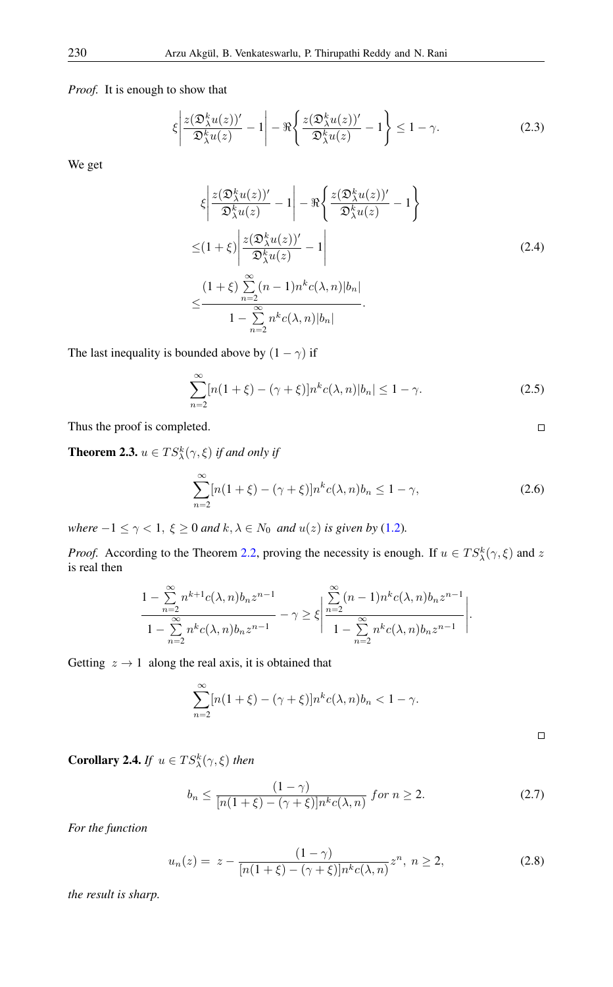*Proof.* It is enough to show that

$$
\xi \left| \frac{z(\mathfrak{D}_{\lambda}^{k} u(z))'}{\mathfrak{D}_{\lambda}^{k} u(z)} - 1 \right| - \Re \left\{ \frac{z(\mathfrak{D}_{\lambda}^{k} u(z))'}{\mathfrak{D}_{\lambda}^{k} u(z)} - 1 \right\} \le 1 - \gamma.
$$
 (2.3)

We get

$$
\xi \left| \frac{z(\mathfrak{D}_{\lambda}^{k} u(z))'}{\mathfrak{D}_{\lambda}^{k} u(z)} - 1 \right| - \Re \left\{ \frac{z(\mathfrak{D}_{\lambda}^{k} u(z))'}{\mathfrak{D}_{\lambda}^{k} u(z)} - 1 \right\}
$$
\n
$$
\leq (1 + \xi) \left| \frac{z(\mathfrak{D}_{\lambda}^{k} u(z))'}{\mathfrak{D}_{\lambda}^{k} u(z)} - 1 \right|
$$
\n
$$
\leq \frac{(1 + \xi) \sum_{n=2}^{\infty} (n - 1) n^{k} c(\lambda, n) |b_{n}|}{1 - \sum_{n=2}^{\infty} n^{k} c(\lambda, n) |b_{n}|}. \tag{2.4}
$$

The last inequality is bounded above by  $(1 - \gamma)$  if

$$
\sum_{n=2}^{\infty} [n(1+\xi) - (\gamma + \xi)] n^k c(\lambda, n) |b_n| \le 1 - \gamma.
$$
 (2.5)

Thus the proof is completed.

<span id="page-2-0"></span>**Theorem 2.3.**  $u \in TS_{\lambda}^{k}(\gamma, \xi)$  *if and only if* 

$$
\sum_{n=2}^{\infty} [n(1+\xi) - (\gamma + \xi)] n^k c(\lambda, n) b_n \le 1 - \gamma,
$$
\n(2.6)

*where*  $-1 \le \gamma < 1$ ,  $\xi \ge 0$  *and*  $k, \lambda \in N_0$  *and*  $u(z)$  *is given by* [\(1.2\)](#page-0-4)*.* 

*Proof.* According to the Theorem [2.2,](#page-1-3) proving the necessity is enough. If  $u \in TS_{\lambda}^{k}(\gamma, \xi)$  and z is real then

$$
\frac{1-\sum_{n=2}^{\infty}n^{k+1}c(\lambda,n)b_nz^{n-1}}{1-\sum_{n=2}^{\infty}n^kc(\lambda,n)b_nz^{n-1}} - \gamma \ge \xi \left| \frac{\sum_{n=2}^{\infty}(n-1)n^kc(\lambda,n)b_nz^{n-1}}{1-\sum_{n=2}^{\infty}n^kc(\lambda,n)b_nz^{n-1}} \right|.
$$

Getting  $z \rightarrow 1$  along the real axis, it is obtained that

$$
\sum_{n=2}^{\infty} [n(1+\xi) - (\gamma + \xi)]n^k c(\lambda, n)b_n < 1 - \gamma.
$$

 $\Box$ 

 $\Box$ 

**Corollary 2.4.** *If*  $u \in TS_{\lambda}^{k}(\gamma, \xi)$  *then* 

$$
b_n \le \frac{(1-\gamma)}{[n(1+\xi)-(\gamma+\xi)]n^k c(\lambda,n)} \text{ for } n \ge 2. \tag{2.7}
$$

*For the function*

<span id="page-2-1"></span>
$$
u_n(z) = z - \frac{(1 - \gamma)}{[n(1 + \xi) - (\gamma + \xi)]n^k c(\lambda, n)} z^n, \ n \ge 2,
$$
\n(2.8)

*the result is sharp.*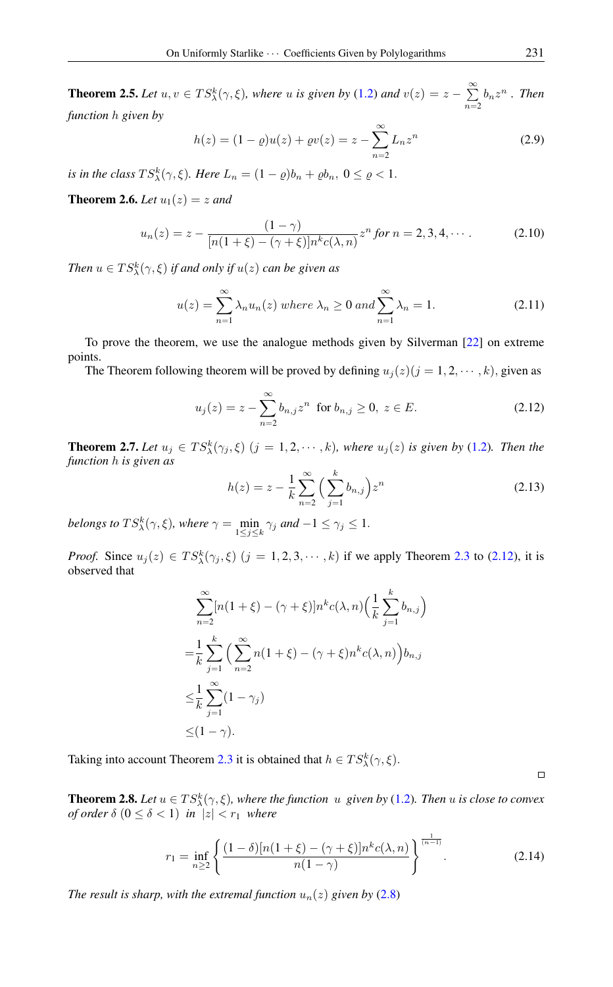**Theorem 2.5.** Let  $u, v \in TS_{\lambda}^{k}(\gamma, \xi)$ , where u is given by [\(1.2\)](#page-0-4) and  $v(z) = z - \sum_{n=1}^{\infty}$  $\sum_{n=2} b_n z^n$ . Then *function* h *given by*

$$
h(z) = (1 - \varrho)u(z) + \varrho v(z) = z - \sum_{n=2}^{\infty} L_n z^n
$$
 (2.9)

*is in the class*  $TS_{\lambda}^{k}(\gamma,\xi)$ *. Here*  $L_n = (1 - \varrho)b_n + \varrho b_n, 0 \leq \varrho < 1$ *.* 

**Theorem 2.6.** *Let*  $u_1(z) = z$  *and* 

$$
u_n(z) = z - \frac{(1 - \gamma)}{[n(1 + \xi) - (\gamma + \xi)]n^k c(\lambda, n)} z^n \text{ for } n = 2, 3, 4, \cdots. \tag{2.10}
$$

Then  $u \in TS_{\lambda}^{k}(\gamma, \xi)$  *if and only if*  $u(z)$  *can be given as* 

$$
u(z) = \sum_{n=1}^{\infty} \lambda_n u_n(z) \text{ where } \lambda_n \ge 0 \text{ and } \sum_{n=1}^{\infty} \lambda_n = 1. \tag{2.11}
$$

To prove the theorem, we use the analogue methods given by Silverman [\[22\]](#page-8-1) on extreme points.

The Theorem following theorem will be proved by defining  $u_j(z)(j = 1, 2, \dots, k)$ , given as

$$
u_j(z) = z - \sum_{n=2}^{\infty} b_{n,j} z^n \text{ for } b_{n,j} \ge 0, \ z \in E.
$$
 (2.12)

**Theorem 2.7.** *Let*  $u_j \in TS_{\lambda}^k(\gamma_j, \xi)$   $(j = 1, 2, \dots, k)$ *, where*  $u_j(z)$  *is given by* [\(1.2\)](#page-0-4)*. Then the function* h *is given as*

<span id="page-3-0"></span>
$$
h(z) = z - \frac{1}{k} \sum_{n=2}^{\infty} \left( \sum_{j=1}^{k} b_{n,j} \right) z^n
$$
 (2.13)

belongs to  $TS_{\lambda}^{k}(\gamma, \xi)$ , where  $\gamma = \min_{1 \leq j \leq k} \gamma_{j}$  and  $-1 \leq \gamma_{j} \leq 1$ .

*Proof.* Since  $u_j(z) \in TS_{\lambda}^k(\gamma_j, \xi)$   $(j = 1, 2, 3, \dots, k)$  if we apply Theorem [2.3](#page-2-0) to [\(2.12\)](#page-3-0), it is observed that

$$
\sum_{n=2}^{\infty} [n(1+\xi) - (\gamma + \xi)] n^k c(\lambda, n) \left(\frac{1}{k} \sum_{j=1}^k b_{n,j}\right)
$$
  
=  $\frac{1}{k} \sum_{j=1}^k \left(\sum_{n=2}^{\infty} n(1+\xi) - (\gamma + \xi) n^k c(\lambda, n)\right) b_{n,j}$   
 $\leq \frac{1}{k} \sum_{j=1}^{\infty} (1-\gamma_j)$   
 $\leq (1-\gamma).$ 

Taking into account Theorem [2.3](#page-2-0) it is obtained that  $h \in TS_{\lambda}^{k}(\gamma, \xi)$ .

**Theorem 2.8.** Let  $u \in TS_{\lambda}^{k}(\gamma, \xi)$ , where the function  $u$  given by [\(1.2\)](#page-0-4). Then  $u$  is close to convex *of order*  $\delta$   $(0 \le \delta < 1)$  *in*  $|z| < r_1$  *where* 

<span id="page-3-1"></span>
$$
r_1 = \inf_{n \ge 2} \left\{ \frac{(1-\delta)[n(1+\xi) - (\gamma+\xi)]n^k c(\lambda, n)}{n(1-\gamma)} \right\}^{\frac{1}{(n-1)}}.
$$
 (2.14)

*The result is sharp, with the extremal function*  $u_n(z)$  *given by* [\(2.8\)](#page-2-1)

 $\Box$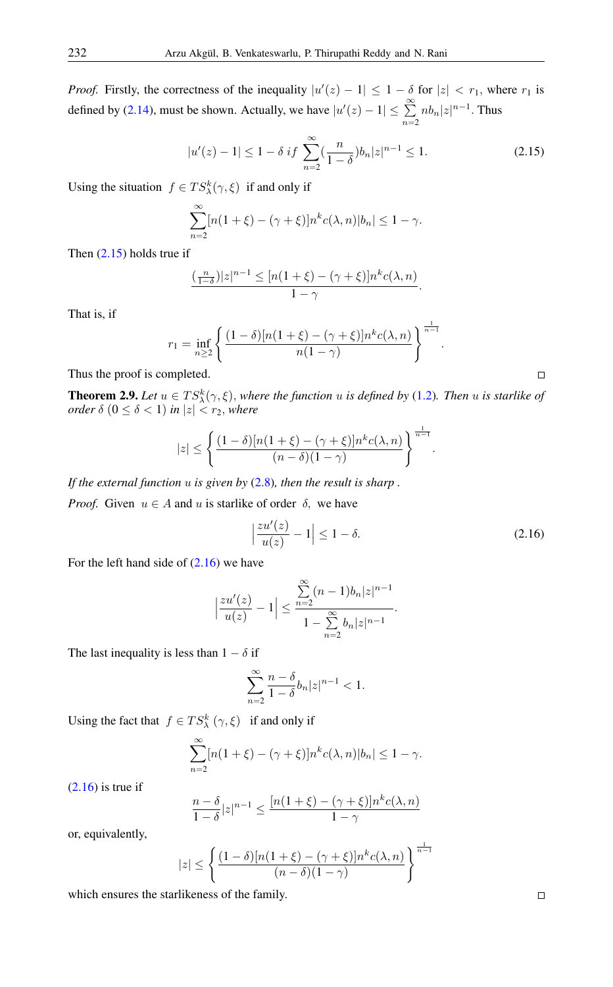*Proof.* Firstly, the correctness of the inequality  $|u'(z) - 1| \leq 1 - \delta$  for  $|z| < r_1$ , where  $r_1$  is defined by [\(2.14\)](#page-3-1), must be shown. Actually, we have  $|u'(z) - 1| \leq \sum_{k=1}^{\infty}$  $\sum_{n=2}^{\infty} nb_n |z|^{n-1}$ . Thus

$$
|u'(z) - 1| \le 1 - \delta \ i f \ \sum_{n=2}^{\infty} \left(\frac{n}{1-\delta} \right) b_n |z|^{n-1} \le 1. \tag{2.15}
$$

Using the situation  $f \in TS_{\lambda}^{k}(\gamma, \xi)$  if and only if

<span id="page-4-1"></span>
$$
\sum_{n=2}^{\infty} [n(1+\xi) - (\gamma + \xi)] n^k c(\lambda, n) |b_n| \le 1 - \gamma.
$$

Then [\(2.15\)](#page-4-0) holds true if

$$
\frac{(\frac{n}{1-\delta})|z|^{n-1} \leq [n(1+\xi) - (\gamma + \xi)]n^k c(\lambda, n)}{1-\gamma}.
$$

That is, if

$$
r_1 = \inf_{n \geq 2} \left\{ \frac{(1-\delta)[n(1+\xi) - (\gamma + \xi)]n^k c(\lambda, n)}{n(1-\gamma)} \right\}^{\frac{1}{n-1}}.
$$

Thus the proof is completed.

**Theorem 2.9.** Let  $u \in TS^k_{\lambda}(\gamma, \xi)$ , where the function u is defined by [\(1.2\)](#page-0-4). Then u is starlike of *order*  $\delta$   $(0 \le \delta < 1)$  *in*  $|z| < r_2$ *, where* 

$$
|z| \leq \left\{ \frac{(1-\delta)[n(1+\xi) - (\gamma+\xi)]n^k c(\lambda,n)}{(n-\delta)(1-\gamma)} \right\}^{\frac{1}{n-1}}.
$$

*If the external function* u *is given by* [\(2.8\)](#page-2-1)*, then the result is sharp .*

*Proof.* Given  $u \in A$  and u is starlike of order  $\delta$ , we have

$$
\left|\frac{zu'(z)}{u(z)}-1\right| \le 1-\delta. \tag{2.16}
$$

For the left hand side of  $(2.16)$  we have

$$
\left|\frac{zu'(z)}{u(z)}-1\right| \le \frac{\sum_{n=2}^{\infty} (n-1)b_n|z|^{n-1}}{1-\sum_{n=2}^{\infty} b_n|z|^{n-1}}.
$$

The last inequality is less than  $1 - \delta$  if

$$
\sum_{n=2}^{\infty} \frac{n-\delta}{1-\delta} b_n |z|^{n-1} < 1.
$$

Using the fact that  $f \in TS_{\lambda}^{k}(\gamma, \xi)$  if and only if

$$
\sum_{n=2}^{\infty} [n(1+\xi) - (\gamma + \xi)] n^{k} c(\lambda, n) |b_{n}| \leq 1 - \gamma.
$$

 $(2.16)$  is true if

$$
\frac{n-\delta}{1-\delta}|z|^{n-1} \le \frac{[n(1+\xi) - (\gamma + \xi)]n^k c(\lambda, n)}{1-\gamma}
$$

or, equivalently,

$$
|z| \leq \left\{ \frac{(1-\delta)[n(1+\xi) - (\gamma + \xi)]n^k c(\lambda, n)}{(n-\delta)(1-\gamma)} \right\}^{\frac{1}{n-1}}
$$

which ensures the starlikeness of the family.

 $\Box$ 

<span id="page-4-0"></span> $\Box$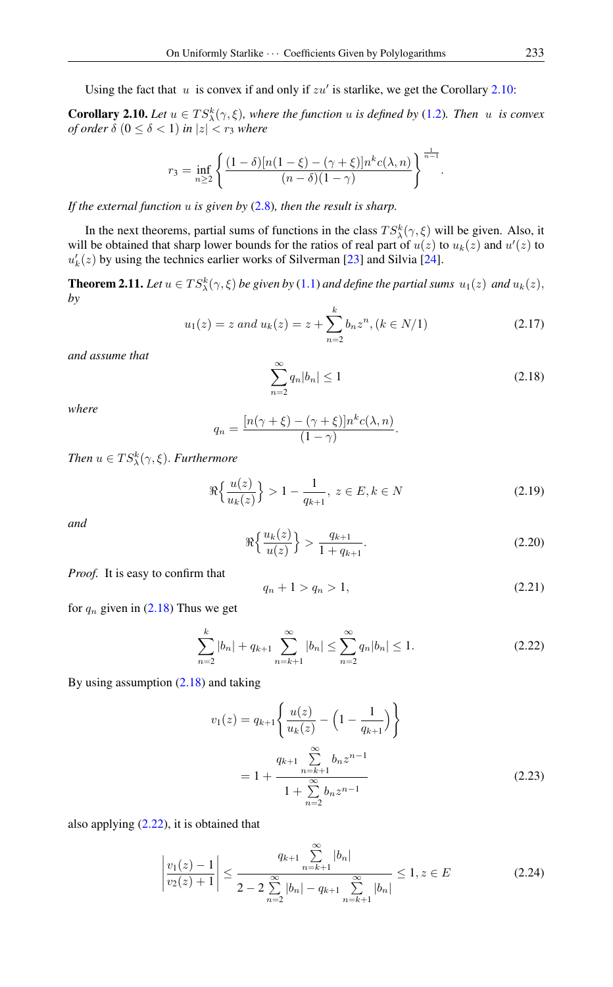Using the fact that  $u$  is convex if and only if  $zu'$  is starlike, we get the Corollary [2.10:](#page-5-0)

<span id="page-5-0"></span>**Corollary 2.10.** Let  $u \in TS_{\lambda}^{k}(\gamma, \xi)$ , where the function u is defined by [\(1.2\)](#page-0-4). Then u is convex *of order*  $\delta$  ( $0 \leq \delta < 1$ ) *in*  $|z| < r_3$  *where* 

$$
r_3 = \inf_{n \ge 2} \left\{ \frac{(1-\delta)[n(1-\xi) - (\gamma + \xi)]n^k c(\lambda, n)}{(n-\delta)(1-\gamma)} \right\}^{\frac{1}{n-1}}.
$$

*If the external function* u *is given by* [\(2.8\)](#page-2-1)*, then the result is sharp.*

In the next theorems, partial sums of functions in the class  $TS_{\lambda}^{k}(\gamma, \xi)$  will be given. Also, it will be obtained that sharp lower bounds for the ratios of real part of  $u(z)$  to  $u_k(z)$  and  $u'(z)$  to  $u'_{k}(z)$  by using the technics earlier works of Silverman [\[23\]](#page-8-2) and Silvia [\[24\]](#page-8-3).

<span id="page-5-4"></span>**Theorem 2.11.** Let  $u \in TS_{\lambda}^{k}(\gamma, \xi)$  be given by [\(1.1\)](#page-0-3) and define the partial sums  $u_1(z)$  and  $u_k(z)$ , *by*

<span id="page-5-1"></span>
$$
u_1(z) = z \text{ and } u_k(z) = z + \sum_{n=2}^{k} b_n z^n, (k \in N/1)
$$
 (2.17)

*and assume that*

$$
\sum_{n=2}^{\infty} q_n |b_n| \le 1
$$
\n(2.18)

*where*

$$
q_n = \frac{[n(\gamma + \xi) - (\gamma + \xi)]n^k c(\lambda, n)}{(1 - \gamma)}.
$$

*Then*  $u \in TS_{\lambda}^{k}(\gamma, \xi)$ *. Furthermore* 

<span id="page-5-3"></span>
$$
\Re{\frac{u(z)}{u_k(z)}} > 1 - \frac{1}{q_{k+1}}, \ z \in E, k \in N
$$
\n(2.19)

<span id="page-5-5"></span>*and*

$$
\Re{\frac{u_k(z)}{u(z)}} > \frac{q_{k+1}}{1 + q_{k+1}}.\tag{2.20}
$$

*Proof.* It is easy to confirm that

<span id="page-5-2"></span>
$$
q_n + 1 > q_n > 1,
$$
\n(2.21)

for  $q_n$  given in [\(2.18\)](#page-5-1) Thus we get

$$
\sum_{n=2}^{k} |b_n| + q_{k+1} \sum_{n=k+1}^{\infty} |b_n| \le \sum_{n=2}^{\infty} q_n |b_n| \le 1.
$$
 (2.22)

By using assumption [\(2.18\)](#page-5-1) and taking

$$
v_1(z) = q_{k+1} \left\{ \frac{u(z)}{u_k(z)} - \left(1 - \frac{1}{q_{k+1}}\right) \right\}
$$
  
= 
$$
1 + \frac{q_{k+1} \sum_{n=k+1}^{\infty} b_n z^{n-1}}{1 + \sum_{n=2}^{\infty} b_n z^{n-1}}
$$
 (2.23)

also applying [\(2.22\)](#page-5-2), it is obtained that

$$
\left|\frac{v_1(z)-1}{v_2(z)+1}\right| \le \frac{q_{k+1} \sum_{n=k+1}^{\infty} |b_n|}{2 - 2 \sum_{n=2}^{\infty} |b_n| - q_{k+1} \sum_{n=k+1}^{\infty} |b_n|} \le 1, z \in E
$$
\n(2.24)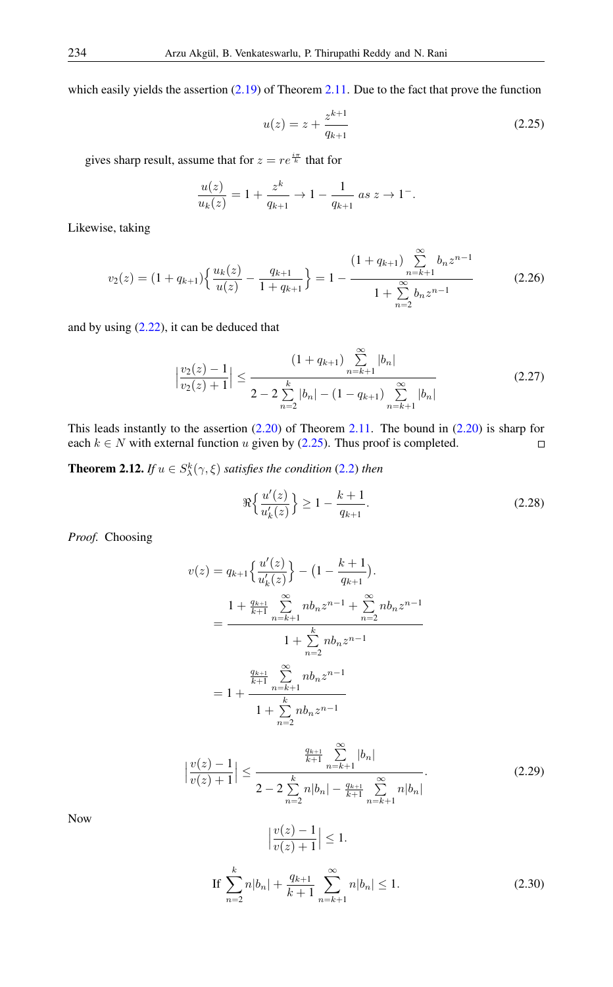which easily yields the assertion  $(2.19)$  of Theorem [2.11.](#page-5-4) Due to the fact that prove the function

<span id="page-6-0"></span>
$$
u(z) = z + \frac{z^{k+1}}{q_{k+1}}
$$
\n(2.25)

gives sharp result, assume that for  $z = re^{\frac{i\pi}{k}}$  that for

$$
\frac{u(z)}{u_k(z)} = 1 + \frac{z^k}{q_{k+1}} \to 1 - \frac{1}{q_{k+1}} \text{ as } z \to 1^-.
$$

Likewise, taking

$$
v_2(z) = (1 + q_{k+1}) \left\{ \frac{u_k(z)}{u(z)} - \frac{q_{k+1}}{1 + q_{k+1}} \right\} = 1 - \frac{(1 + q_{k+1}) \sum_{n=k+1}^{\infty} b_n z^{n-1}}{1 + \sum_{n=2}^{\infty} b_n z^{n-1}}
$$
(2.26)

and by using [\(2.22\)](#page-5-2), it can be deduced that

$$
\left|\frac{v_2(z)-1}{v_2(z)+1}\right| \le \frac{\left(1+q_{k+1}\right)\sum_{n=k+1}^{\infty}|b_n|}{2-2\sum_{n=2}^k|b_n| - \left(1-q_{k+1}\right)\sum_{n=k+1}^{\infty}|b_n|}
$$
(2.27)

This leads instantly to the assertion  $(2.20)$  of Theorem [2.11.](#page-5-4) The bound in  $(2.20)$  is sharp for each  $k \in N$  with external function u given by [\(2.25\)](#page-6-0). Thus proof is completed.  $\Box$ 

**Theorem 2.12.** *If*  $u \in S^k_\lambda(\gamma, \xi)$  *satisfies the condition* [\(2.2\)](#page-1-4) *then* 

$$
\Re{\frac{u'(z)}{u'_k(z)}} \ge 1 - \frac{k+1}{q_{k+1}}.\tag{2.28}
$$

*Proof.* Choosing

$$
v(z) = q_{k+1} \left\{ \frac{u'(z)}{u'_k(z)} \right\} - \left( 1 - \frac{k+1}{q_{k+1}} \right).
$$
  
= 
$$
\frac{1 + \frac{q_{k+1}}{k+1} \sum_{n=k+1}^{\infty} nb_n z^{n-1} + \sum_{n=2}^{\infty} nb_n z^{n-1}}{1 + \sum_{n=2}^{k} nb_n z^{n-1}}
$$
  
= 
$$
1 + \frac{\frac{q_{k+1}}{k+1} \sum_{n=k+1}^{\infty} nb_n z^{n-1}}{1 + \sum_{n=2}^{k} nb_n z^{n-1}}
$$

$$
\left|\frac{v(z)-1}{v(z)+1}\right| \le \frac{\frac{q_{k+1}}{k+1} \sum_{n=k+1}^{\infty} |b_n|}{2 - 2 \sum_{n=2}^{k} n|b_n| - \frac{q_{k+1}}{k+1} \sum_{n=k+1}^{\infty} n|b_n|}.
$$
 (2.29)

<span id="page-6-1"></span>Now

$$
\left|\frac{v(z)-1}{v(z)+1}\right| \le 1.
$$
  
If 
$$
\sum_{n=2}^{k} n|b_n| + \frac{q_{k+1}}{k+1} \sum_{n=k+1}^{\infty} n|b_n| \le 1.
$$
 (2.30)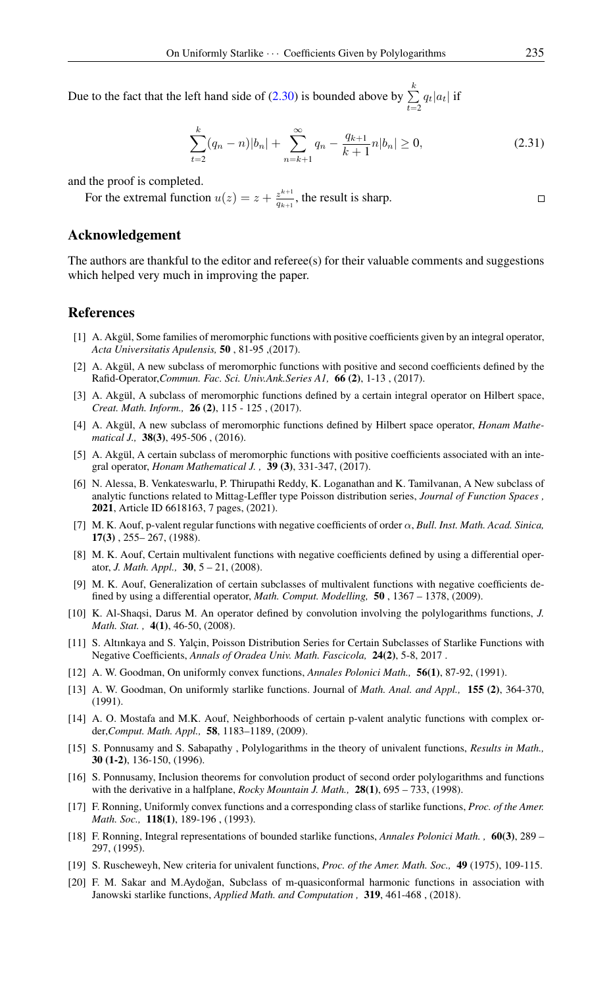Due to the fact that the left hand side of [\(2.30\)](#page-6-1) is bounded above by  $\sum_{k=1}^{k}$  $\sum_{t=2} q_t |a_t|$  if

$$
\sum_{t=2}^{k} (q_n - n)|b_n| + \sum_{n=k+1}^{\infty} q_n - \frac{q_{k+1}}{k+1}n|b_n| \ge 0,
$$
\n(2.31)

and the proof is completed.

For the extremal function  $u(z) = z + \frac{z^{k+1}}{a_{k+1}}$  $\frac{z^{n+1}}{q_{k+1}}$ , the result is sharp.

## Acknowledgement

The authors are thankful to the editor and referee(s) for their valuable comments and suggestions which helped very much in improving the paper.

#### <span id="page-7-0"></span>References

- <span id="page-7-9"></span>[1] A. Akgül, Some families of meromorphic functions with positive coefficients given by an integral operator, *Acta Universitatis Apulensis,* 50 , 81-95 ,(2017).
- <span id="page-7-10"></span>[2] A. Akgül, A new subclass of meromorphic functions with positive and second coefficients defined by the Rafid-Operator,*Commun. Fac. Sci. Univ.Ank.Series A1,* 66 (2), 1-13 , (2017).
- <span id="page-7-11"></span>[3] A. Akgül, A subclass of meromorphic functions defined by a certain integral operator on Hilbert space, *Creat. Math. Inform.,* 26 (2), 115 - 125 , (2017).
- <span id="page-7-12"></span>[4] A. Akgül, A new subclass of meromorphic functions defined by Hilbert space operator, *Honam Mathematical J.,* 38(3), 495-506 , (2016).
- <span id="page-7-13"></span>[5] A. Akgül, A certain subclass of meromorphic functions with positive coefficients associated with an integral operator, *Honam Mathematical J. ,* 39 (3), 331-347, (2017).
- <span id="page-7-14"></span>[6] N. Alessa, B. Venkateswarlu, P. Thirupathi Reddy, K. Loganathan and K. Tamilvanan, A New subclass of analytic functions related to Mittag-Leffler type Poisson distribution series, *Journal of Function Spaces ,* 2021, Article ID 6618163, 7 pages, (2021).
- <span id="page-7-15"></span>[7] M. K. Aouf, p-valent regular functions with negative coefficients of order α, *Bull. Inst. Math. Acad. Sinica,* 17(3) , 255– 267, (1988).
- <span id="page-7-16"></span>[8] M. K. Aouf, Certain multivalent functions with negative coefficients defined by using a differential operator, *J. Math. Appl.,* 30, 5 – 21, (2008).
- <span id="page-7-17"></span>[9] M. K. Aouf, Generalization of certain subclasses of multivalent functions with negative coefficients defined by using a differential operator, *Math. Comput. Modelling,* 50 , 1367 – 1378, (2009).
- <span id="page-7-5"></span>[10] K. Al-Shaqsi, Darus M. An operator defined by convolution involving the polylogarithms functions, *J. Math. Stat. ,* 4(1), 46-50, (2008).
- <span id="page-7-18"></span>[11] S. Altınkaya and S. Yalçin, Poisson Distribution Series for Certain Subclasses of Starlike Functions with Negative Coefficients, *Annals of Oradea Univ. Math. Fascicola,* 24(2), 5-8, 2017 .
- <span id="page-7-1"></span>[12] A. W. Goodman, On uniformly convex functions, *Annales Polonici Math.,* 56(1), 87-92, (1991).
- <span id="page-7-2"></span>[13] A. W. Goodman, On uniformly starlike functions. Journal of *Math. Anal. and Appl.,* 155 (2), 364-370, (1991).
- <span id="page-7-19"></span>[14] A. O. Mostafa and M.K. Aouf, Neighborhoods of certain p-valent analytic functions with complex order,*Comput. Math. Appl.,* 58, 1183–1189, (2009).
- <span id="page-7-6"></span>[15] S. Ponnusamy and S. Sabapathy , Polylogarithms in the theory of univalent functions, *Results in Math.,* 30 (1-2), 136-150, (1996).
- <span id="page-7-7"></span>[16] S. Ponnusamy, Inclusion theorems for convolution product of second order polylogarithms and functions with the derivative in a halfplane, *Rocky Mountain J. Math.*, **28(1)**, 695 – 733, (1998).
- <span id="page-7-3"></span>[17] F. Ronning, Uniformly convex functions and a corresponding class of starlike functions, *Proc. of the Amer. Math. Soc.,* 118(1), 189-196 , (1993).
- <span id="page-7-4"></span>[18] F. Ronning, Integral representations of bounded starlike functions, *Annales Polonici Math. ,* 60(3), 289 – 297, (1995).
- <span id="page-7-8"></span>[19] S. Ruscheweyh, New criteria for univalent functions, *Proc. of the Amer. Math. Soc.,* 49 (1975), 109-115.
- <span id="page-7-20"></span>[20] F. M. Sakar and M.Aydoğan, Subclass of m-quasiconformal harmonic functions in association with Janowski starlike functions, *Applied Math. and Computation ,* 319, 461-468 , (2018).

 $\Box$